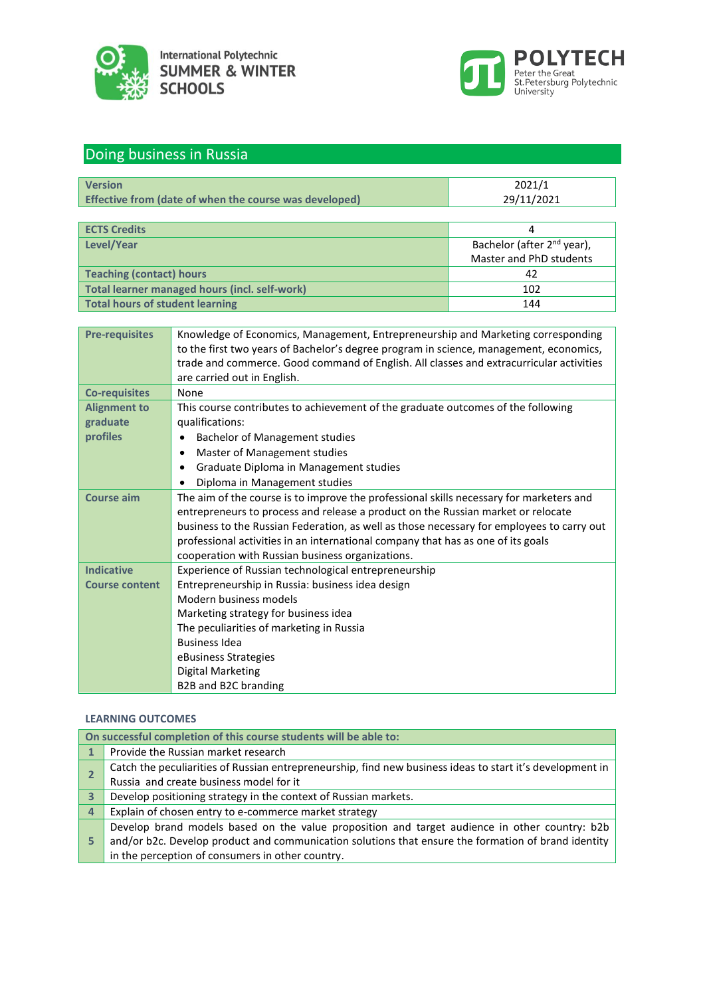



# Doing business in Russia

| <b>Version</b>                                                | 2021/1     |
|---------------------------------------------------------------|------------|
| <b>Effective from (date of when the course was developed)</b> | 29/11/2021 |

| <b>ECTS Credits</b>                           |                                        |
|-----------------------------------------------|----------------------------------------|
| Level/Year                                    | Bachelor (after 2 <sup>nd</sup> year), |
|                                               | Master and PhD students                |
| Teaching (contact) hours                      | 42                                     |
| Total learner managed hours (incl. self-work) | 102                                    |
| Total hours of student learning               | 144                                    |

| <b>Pre-requisites</b> | Knowledge of Economics, Management, Entrepreneurship and Marketing corresponding          |
|-----------------------|-------------------------------------------------------------------------------------------|
|                       | to the first two years of Bachelor's degree program in science, management, economics,    |
|                       | trade and commerce. Good command of English. All classes and extracurricular activities   |
|                       | are carried out in English.                                                               |
| <b>Co-requisites</b>  | None                                                                                      |
| <b>Alignment to</b>   | This course contributes to achievement of the graduate outcomes of the following          |
| graduate              | qualifications:                                                                           |
| profiles              | Bachelor of Management studies                                                            |
|                       | Master of Management studies<br>$\bullet$                                                 |
|                       | Graduate Diploma in Management studies<br>$\bullet$                                       |
|                       | Diploma in Management studies                                                             |
| <b>Course aim</b>     | The aim of the course is to improve the professional skills necessary for marketers and   |
|                       | entrepreneurs to process and release a product on the Russian market or relocate          |
|                       | business to the Russian Federation, as well as those necessary for employees to carry out |
|                       | professional activities in an international company that has as one of its goals          |
|                       | cooperation with Russian business organizations.                                          |
| <b>Indicative</b>     | Experience of Russian technological entrepreneurship                                      |
| <b>Course content</b> | Entrepreneurship in Russia: business idea design                                          |
|                       | Modern business models                                                                    |
|                       | Marketing strategy for business idea                                                      |
|                       | The peculiarities of marketing in Russia                                                  |
|                       | <b>Business Idea</b>                                                                      |
|                       | eBusiness Strategies                                                                      |
|                       | <b>Digital Marketing</b>                                                                  |
|                       | B2B and B2C branding                                                                      |

## **LEARNING OUTCOMES**

|                         | On successful completion of this course students will be able to:                                         |
|-------------------------|-----------------------------------------------------------------------------------------------------------|
|                         | Provide the Russian market research                                                                       |
|                         | Catch the peculiarities of Russian entrepreneurship, find new business ideas to start it's development in |
|                         | Russia and create business model for it                                                                   |
| $\overline{\mathbf{3}}$ | Develop positioning strategy in the context of Russian markets.                                           |
| 4                       | Explain of chosen entry to e-commerce market strategy                                                     |
|                         | Develop brand models based on the value proposition and target audience in other country: b2b             |
| 5                       | and/or b2c. Develop product and communication solutions that ensure the formation of brand identity       |
|                         | in the perception of consumers in other country.                                                          |